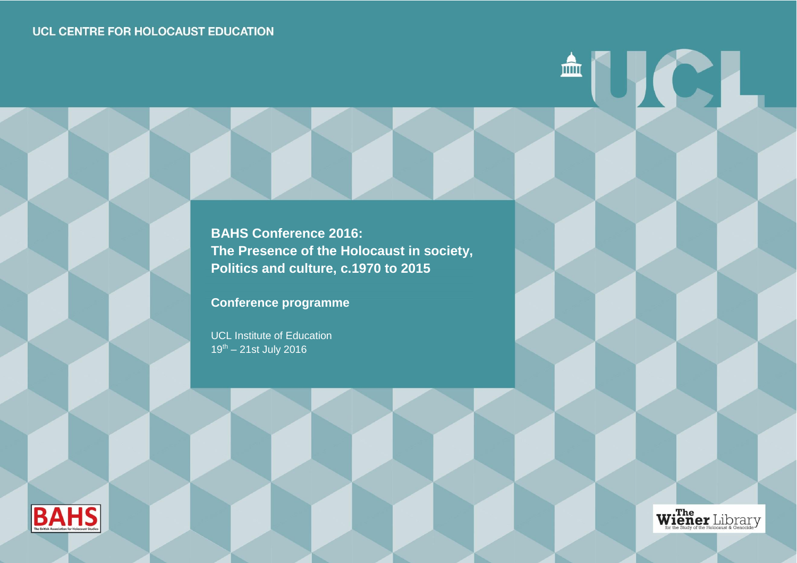**BAHS Conference 2016: The Presence of the Holocaust in society, Politics and culture, c.1970 to 2015**

**Conference programme**

UCL Institute of Education  $19^{th} - 21$ st July 2016





**AUCI**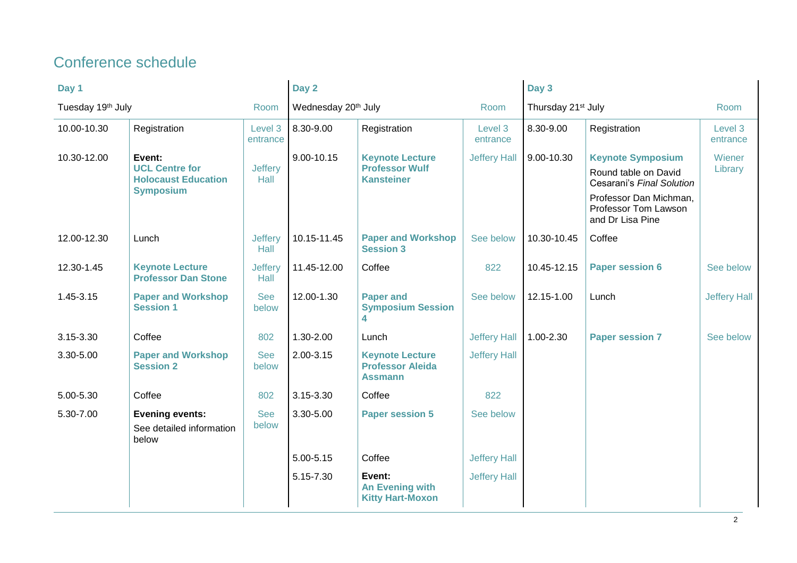# Conference schedule

| Day 1                     |                                                                         | Day 2                  |                                         | Day 3                                                               |                                |             |                                                                    |                     |
|---------------------------|-------------------------------------------------------------------------|------------------------|-----------------------------------------|---------------------------------------------------------------------|--------------------------------|-------------|--------------------------------------------------------------------|---------------------|
| Tuesday 19th July<br>Room |                                                                         |                        | Wednesday 20 <sup>th</sup> July<br>Room |                                                                     | Thursday 21 <sup>st</sup> July |             | Room                                                               |                     |
| 10.00-10.30               | Registration                                                            | Level 3<br>entrance    | 8.30-9.00                               | Registration                                                        | Level 3<br>entrance            | 8.30-9.00   | Registration                                                       | Level 3<br>entrance |
| 10.30-12.00               | Event:                                                                  |                        | 9.00-10.15                              | <b>Keynote Lecture</b>                                              | <b>Jeffery Hall</b>            | 9.00-10.30  | <b>Keynote Symposium</b>                                           | Wiener              |
|                           | <b>UCL Centre for</b><br><b>Holocaust Education</b><br><b>Symposium</b> | <b>Jeffery</b><br>Hall |                                         | <b>Professor Wulf</b><br><b>Kansteiner</b>                          |                                |             | Round table on David<br>Cesarani's Final Solution                  | Library             |
|                           |                                                                         |                        |                                         |                                                                     |                                |             | Professor Dan Michman,<br>Professor Tom Lawson<br>and Dr Lisa Pine |                     |
| 12.00-12.30               | Lunch                                                                   | <b>Jeffery</b><br>Hall | 10.15-11.45                             | <b>Paper and Workshop</b><br><b>Session 3</b>                       | See below                      | 10.30-10.45 | Coffee                                                             |                     |
| 12.30-1.45                | <b>Keynote Lecture</b><br><b>Professor Dan Stone</b>                    | <b>Jeffery</b><br>Hall | 11.45-12.00                             | Coffee                                                              | 822                            | 10.45-12.15 | <b>Paper session 6</b>                                             | See below           |
| 1.45-3.15                 | <b>Paper and Workshop</b><br><b>Session 1</b>                           | <b>See</b><br>below    | 12.00-1.30                              | <b>Paper and</b><br><b>Symposium Session</b><br>4                   | See below                      | 12.15-1.00  | Lunch                                                              | Jeffery Hall        |
| 3.15-3.30                 | Coffee                                                                  | 802                    | 1.30-2.00                               | Lunch                                                               | <b>Jeffery Hall</b>            | 1.00-2.30   | <b>Paper session 7</b>                                             | See below           |
| 3.30-5.00                 | <b>Paper and Workshop</b><br><b>Session 2</b>                           | <b>See</b><br>below    | 2.00-3.15                               | <b>Keynote Lecture</b><br><b>Professor Aleida</b><br><b>Assmann</b> | <b>Jeffery Hall</b>            |             |                                                                    |                     |
| 5.00-5.30                 | Coffee                                                                  | 802                    | 3.15-3.30                               | Coffee                                                              | 822                            |             |                                                                    |                     |
| 5.30-7.00                 | <b>Evening events:</b>                                                  | <b>See</b>             | 3.30-5.00                               | <b>Paper session 5</b>                                              | See below                      |             |                                                                    |                     |
|                           | See detailed information<br>below                                       | below                  |                                         |                                                                     |                                |             |                                                                    |                     |
|                           |                                                                         |                        | 5.00-5.15                               | Coffee                                                              | <b>Jeffery Hall</b>            |             |                                                                    |                     |
|                           |                                                                         |                        | 5.15-7.30                               | Event:<br><b>An Evening with</b><br><b>Kitty Hart-Moxon</b>         | <b>Jeffery Hall</b>            |             |                                                                    |                     |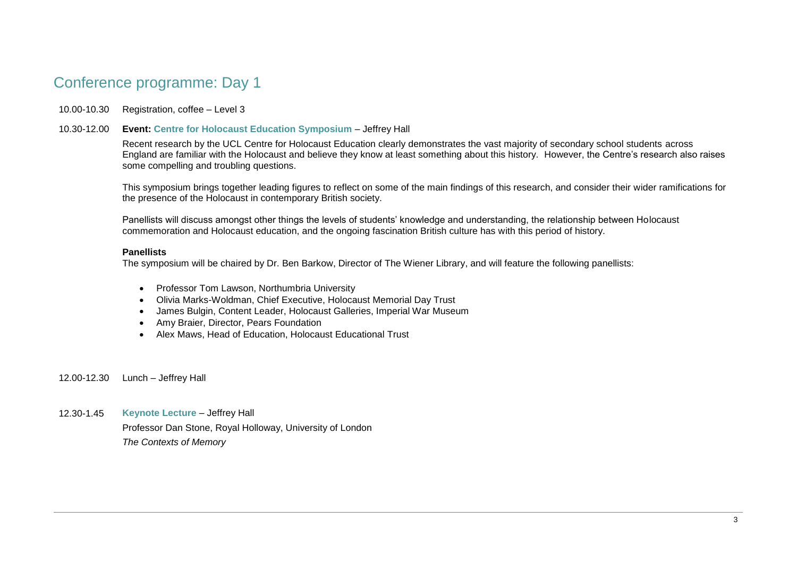# Conference programme: Day 1

### 10.00-10.30 Registration, coffee – Level 3

10.30-12.00 **Event: Centre for Holocaust Education Symposium** – Jeffrey Hall

Recent research by the UCL Centre for Holocaust Education clearly demonstrates the vast majority of secondary school students across England are familiar with the Holocaust and believe they know at least something about this history. However, the Centre's research also raises some compelling and troubling questions.

This symposium brings together leading figures to reflect on some of the main findings of this research, and consider their wider ramifications for the presence of the Holocaust in contemporary British society.

Panellists will discuss amongst other things the levels of students' knowledge and understanding, the relationship between Holocaust commemoration and Holocaust education, and the ongoing fascination British culture has with this period of history.

#### **Panellists**

The symposium will be chaired by Dr. Ben Barkow, Director of The Wiener Library, and will feature the following panellists:

- Professor Tom Lawson, Northumbria University
- Olivia Marks-Woldman, Chief Executive, Holocaust Memorial Day Trust
- James Bulgin, Content Leader, Holocaust Galleries, Imperial War Museum
- Amy Braier, Director, Pears Foundation
- Alex Maws, Head of Education, Holocaust Educational Trust
- 12.00-12.30 Lunch Jeffrey Hall

12.30-1.45 **Keynote Lecture** – Jeffrey Hall Professor Dan Stone, Royal Holloway, University of London *The Contexts of Memory*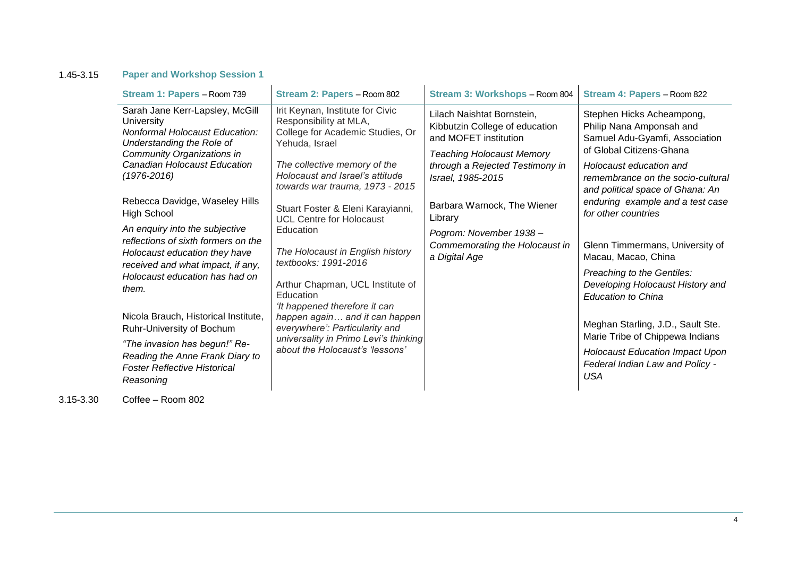## 1.45-3.15 **Paper and Workshop Session 1**

| Stream 1: Papers - Room 739                                                                                                                                                                   | Stream 2: Papers - Room 802                                                                                                                                                                                            | Stream 3: Workshops - Room 804                                                                                                                                                    | Stream 4: Papers - Room 822                                                                                                                                                                                             |
|-----------------------------------------------------------------------------------------------------------------------------------------------------------------------------------------------|------------------------------------------------------------------------------------------------------------------------------------------------------------------------------------------------------------------------|-----------------------------------------------------------------------------------------------------------------------------------------------------------------------------------|-------------------------------------------------------------------------------------------------------------------------------------------------------------------------------------------------------------------------|
| Sarah Jane Kerr-Lapsley, McGill<br>University<br>Nonformal Holocaust Education:<br>Understanding the Role of<br>Community Organizations in<br>Canadian Holocaust Education<br>$(1976 - 2016)$ | Irit Keynan, Institute for Civic<br>Responsibility at MLA,<br>College for Academic Studies, Or<br>Yehuda, Israel<br>The collective memory of the<br>Holocaust and Israel's attitude<br>towards war trauma, 1973 - 2015 | Lilach Naishtat Bornstein,<br>Kibbutzin College of education<br>and MOFET institution<br><b>Teaching Holocaust Memory</b><br>through a Rejected Testimony in<br>Israel, 1985-2015 | Stephen Hicks Acheampong,<br>Philip Nana Amponsah and<br>Samuel Adu-Gyamfi, Association<br>of Global Citizens-Ghana<br>Holocaust education and<br>remembrance on the socio-cultural<br>and political space of Ghana: An |
| Rebecca Davidge, Waseley Hills<br><b>High School</b><br>An enquiry into the subjective                                                                                                        | Stuart Foster & Eleni Karayianni,<br><b>UCL Centre for Holocaust</b><br>Education                                                                                                                                      | Barbara Warnock, The Wiener<br>Library<br>Pogrom: November 1938 -                                                                                                                 | enduring example and a test case<br>for other countries                                                                                                                                                                 |
| reflections of sixth formers on the<br>Holocaust education they have<br>received and what impact, if any,                                                                                     | The Holocaust in English history<br>textbooks: 1991-2016                                                                                                                                                               | Commemorating the Holocaust in<br>a Digital Age                                                                                                                                   | Glenn Timmermans, University of<br>Macau, Macao, China                                                                                                                                                                  |
| Holocaust education has had on<br>them.                                                                                                                                                       | Arthur Chapman, UCL Institute of<br>Education<br>'It happened therefore it can                                                                                                                                         |                                                                                                                                                                                   | Preaching to the Gentiles:<br>Developing Holocaust History and<br><b>Education to China</b>                                                                                                                             |
| Nicola Brauch, Historical Institute,<br>Ruhr-University of Bochum                                                                                                                             | happen again and it can happen<br>everywhere': Particularity and<br>universality in Primo Levi's thinking                                                                                                              |                                                                                                                                                                                   | Meghan Starling, J.D., Sault Ste.<br>Marie Tribe of Chippewa Indians                                                                                                                                                    |
| "The invasion has begun!" Re-<br>Reading the Anne Frank Diary to<br><b>Foster Reflective Historical</b><br>Reasoning                                                                          | about the Holocaust's 'lessons'                                                                                                                                                                                        |                                                                                                                                                                                   | <b>Holocaust Education Impact Upon</b><br>Federal Indian Law and Policy -<br>USA                                                                                                                                        |

3.15-3.30 Coffee – Room 802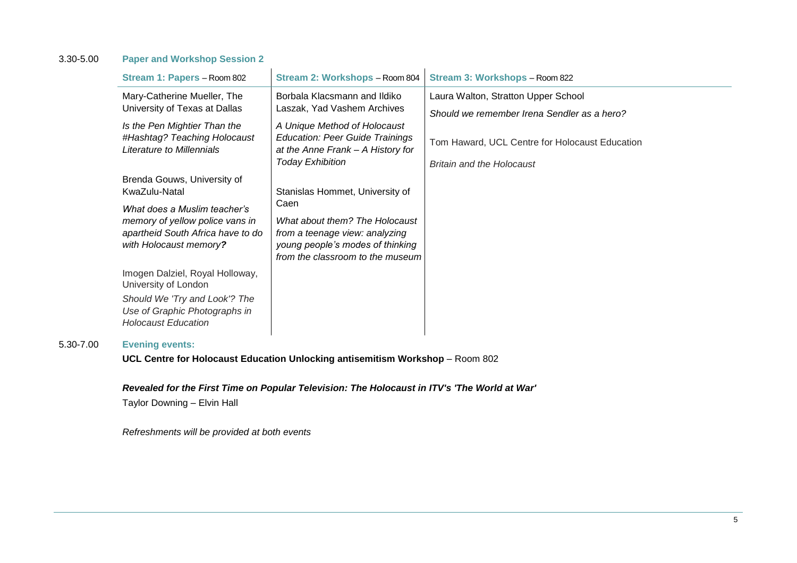### 3.30-5.00 **Paper and Workshop Session 2**

| Stream 1: Papers - Room 802                                                                                                    | Stream 2: Workshops - Room 804                                                                                                                   | Stream 3: Workshops - Room 822                                                     |
|--------------------------------------------------------------------------------------------------------------------------------|--------------------------------------------------------------------------------------------------------------------------------------------------|------------------------------------------------------------------------------------|
| Mary-Catherine Mueller, The<br>University of Texas at Dallas<br>Is the Pen Mightier Than the                                   | Borbala Klacsmann and Ildiko<br>Laszak, Yad Vashem Archives<br>A Unique Method of Holocaust                                                      | Laura Walton, Stratton Upper School<br>Should we remember Irena Sendler as a hero? |
| #Hashtag? Teaching Holocaust<br>Literature to Millennials                                                                      | <b>Education: Peer Guide Trainings</b><br>at the Anne Frank - A History for<br><b>Today Exhibition</b>                                           | Tom Haward, UCL Centre for Holocaust Education<br><b>Britain and the Holocaust</b> |
| Brenda Gouws, University of<br>KwaZulu-Natal                                                                                   | Stanislas Hommet, University of                                                                                                                  |                                                                                    |
| What does a Muslim teacher's<br>memory of yellow police vans in<br>apartheid South Africa have to do<br>with Holocaust memory? | Caen<br>What about them? The Holocaust<br>from a teenage view: analyzing<br>young people's modes of thinking<br>from the classroom to the museum |                                                                                    |
| Imogen Dalziel, Royal Holloway,<br>University of London                                                                        |                                                                                                                                                  |                                                                                    |
| Should We 'Try and Look'? The<br>Use of Graphic Photographs in<br><b>Holocaust Education</b>                                   |                                                                                                                                                  |                                                                                    |

## 5.30-7.00 **Evening events:**

**UCL Centre for Holocaust Education Unlocking antisemitism Workshop** – Room 802

## *Revealed for the First Time on Popular Television: The Holocaust in ITV's 'The World at War'*

Taylor Downing – Elvin Hall

*Refreshments will be provided at both events*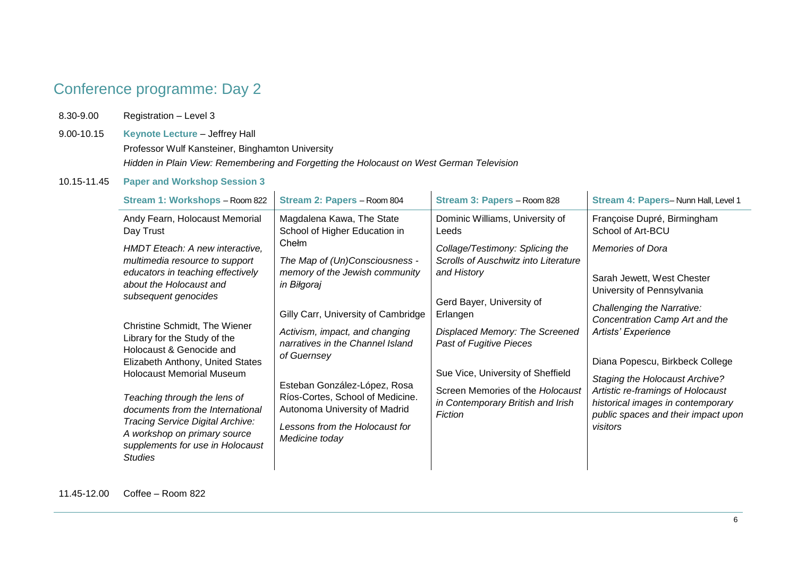# Conference programme: Day 2

8.30-9.00 Registration – Level 3

9.00-10.15 **Keynote Lecture** – Jeffrey Hall Professor Wulf Kansteiner, Binghamton University *Hidden in Plain View: Remembering and Forgetting the Holocaust on West German Television*

### 10.15-11.45 **Paper and Workshop Session 3**

| Stream 1: Workshops - Room 822                                                                                                                                                                                                                                                                                                                                  | Stream 2: Papers - Room 804                                                                                                                                                                                                                                                       | Stream 3: Papers - Room 828                                                                                                                                                                    | Stream 4: Papers-Nunn Hall, Level 1                                                                                                                                                                                                                                                          |
|-----------------------------------------------------------------------------------------------------------------------------------------------------------------------------------------------------------------------------------------------------------------------------------------------------------------------------------------------------------------|-----------------------------------------------------------------------------------------------------------------------------------------------------------------------------------------------------------------------------------------------------------------------------------|------------------------------------------------------------------------------------------------------------------------------------------------------------------------------------------------|----------------------------------------------------------------------------------------------------------------------------------------------------------------------------------------------------------------------------------------------------------------------------------------------|
| Andy Fearn, Holocaust Memorial<br>Day Trust                                                                                                                                                                                                                                                                                                                     | Magdalena Kawa, The State<br>School of Higher Education in                                                                                                                                                                                                                        | Dominic Williams, University of<br>Leeds                                                                                                                                                       | Françoise Dupré, Birmingham<br>School of Art-BCU                                                                                                                                                                                                                                             |
| HMDT Eteach: A new interactive,<br>multimedia resource to support<br>educators in teaching effectively<br>about the Holocaust and<br>subsequent genocides                                                                                                                                                                                                       | Chełm<br>The Map of (Un)Consciousness -<br>memory of the Jewish community<br>in Biłgoraj                                                                                                                                                                                          | Collage/Testimony: Splicing the<br>Scrolls of Auschwitz into Literature<br>and History<br>Gerd Bayer, University of                                                                            | <b>Memories of Dora</b><br>Sarah Jewett, West Chester<br>University of Pennsylvania                                                                                                                                                                                                          |
| Christine Schmidt, The Wiener<br>Library for the Study of the<br>Holocaust & Genocide and<br>Elizabeth Anthony, United States<br><b>Holocaust Memorial Museum</b><br>Teaching through the lens of<br>documents from the International<br>Tracing Service Digital Archive:<br>A workshop on primary source<br>supplements for use in Holocaust<br><b>Studies</b> | Gilly Carr, University of Cambridge<br>Activism, impact, and changing<br>narratives in the Channel Island<br>of Guernsey<br>Esteban González-López, Rosa<br>Ríos-Cortes, School of Medicine.<br>Autonoma University of Madrid<br>Lessons from the Holocaust for<br>Medicine today | Erlangen<br>Displaced Memory: The Screened<br>Past of Fugitive Pieces<br>Sue Vice, University of Sheffield<br>Screen Memories of the Holocaust<br>in Contemporary British and Irish<br>Fiction | Challenging the Narrative:<br>Concentration Camp Art and the<br>Artists' Experience<br>Diana Popescu, Birkbeck College<br><b>Staging the Holocaust Archive?</b><br>Artistic re-framings of Holocaust<br>historical images in contemporary<br>public spaces and their impact upon<br>visitors |

11.45-12.00 Coffee – Room 822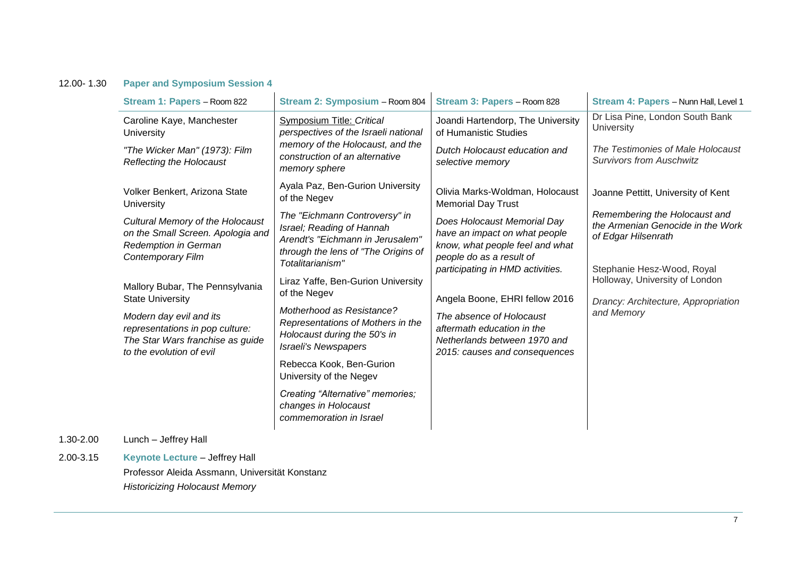## 12.00- 1.30 **Paper and Symposium Session 4**

| Stream 1: Papers - Room 822                                                                                                | Stream 2: Symposium - Room 804                                                                                                | Stream 3: Papers - Room 828                                                                                                                                                                                                                                                                                                  | Stream 4: Papers - Nunn Hall, Level 1                                                                             |  |  |
|----------------------------------------------------------------------------------------------------------------------------|-------------------------------------------------------------------------------------------------------------------------------|------------------------------------------------------------------------------------------------------------------------------------------------------------------------------------------------------------------------------------------------------------------------------------------------------------------------------|-------------------------------------------------------------------------------------------------------------------|--|--|
| Caroline Kaye, Manchester<br>University                                                                                    | Symposium Title: Critical<br>perspectives of the Israeli national                                                             | Joandi Hartendorp, The University<br>of Humanistic Studies<br>Dutch Holocaust education and<br>selective memory                                                                                                                                                                                                              | Dr Lisa Pine, London South Bank<br>University                                                                     |  |  |
| "The Wicker Man" (1973): Film<br>Reflecting the Holocaust                                                                  | memory of the Holocaust, and the<br>construction of an alternative<br>memory sphere                                           |                                                                                                                                                                                                                                                                                                                              | The Testimonies of Male Holocaust<br><b>Survivors from Auschwitz</b>                                              |  |  |
| Volker Benkert, Arizona State<br>University                                                                                | Ayala Paz, Ben-Gurion University<br>of the Negev<br>The "Eichmann Controversy" in                                             | Olivia Marks-Woldman, Holocaust<br><b>Memorial Day Trust</b>                                                                                                                                                                                                                                                                 | Joanne Pettitt, University of Kent<br>Remembering the Holocaust and                                               |  |  |
| Cultural Memory of the Holocaust<br>on the Small Screen. Apologia and<br>Redemption in German<br>Contemporary Film         | Israel; Reading of Hannah<br>Arendt's "Eichmann in Jerusalem"<br>through the lens of "The Origins of<br>Totalitarianism"      | Does Holocaust Memorial Day<br>have an impact on what people<br>know, what people feel and what<br>people do as a result of<br>participating in HMD activities.<br>Angela Boone, EHRI fellow 2016<br>The absence of Holocaust<br>aftermath education in the<br>Netherlands between 1970 and<br>2015: causes and consequences | the Armenian Genocide in the Work<br>of Edgar Hilsenrath                                                          |  |  |
| Mallory Bubar, The Pennsylvania<br><b>State University</b>                                                                 | Liraz Yaffe, Ben-Gurion University<br>of the Negev                                                                            |                                                                                                                                                                                                                                                                                                                              | Stephanie Hesz-Wood, Royal<br>Holloway, University of London<br>Drancy: Architecture, Appropriation<br>and Memory |  |  |
| Modern day evil and its<br>representations in pop culture:<br>The Star Wars franchise as guide<br>to the evolution of evil | Motherhood as Resistance?<br>Representations of Mothers in the<br>Holocaust during the 50's in<br><b>Israeli's Newspapers</b> |                                                                                                                                                                                                                                                                                                                              |                                                                                                                   |  |  |
|                                                                                                                            | Rebecca Kook, Ben-Gurion<br>University of the Negev                                                                           |                                                                                                                                                                                                                                                                                                                              |                                                                                                                   |  |  |
|                                                                                                                            | Creating "Alternative" memories;<br>changes in Holocaust<br>commemoration in Israel                                           |                                                                                                                                                                                                                                                                                                                              |                                                                                                                   |  |  |
| Lunch - Jeffrey Hall                                                                                                       |                                                                                                                               |                                                                                                                                                                                                                                                                                                                              |                                                                                                                   |  |  |
| <b>Keynote Lecture - Jeffrey Hall</b>                                                                                      |                                                                                                                               |                                                                                                                                                                                                                                                                                                                              |                                                                                                                   |  |  |
| Professor Aleida Assmann, Universität Konstanz                                                                             |                                                                                                                               |                                                                                                                                                                                                                                                                                                                              |                                                                                                                   |  |  |

*Historicizing Holocaust Memory*

 $1.30 - 2.00$ 2.00-3.15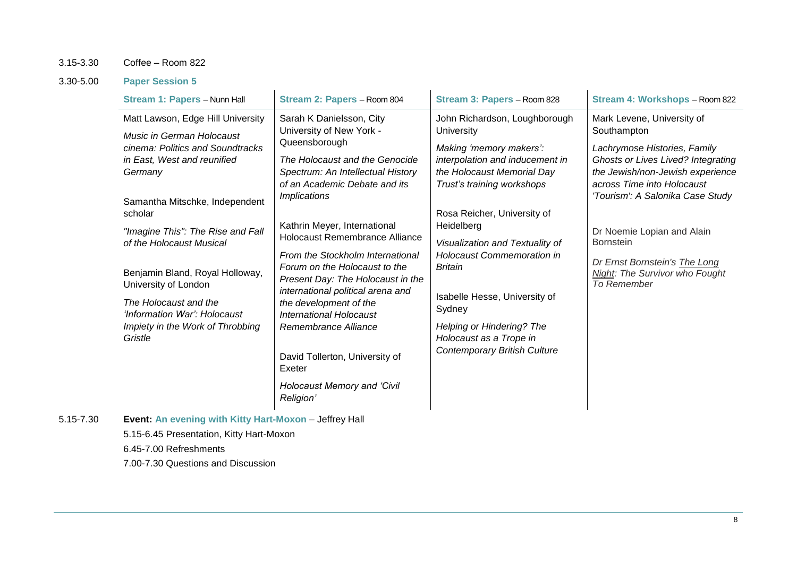## 3.15-3.30 Coffee – Room 822

## 3.30-5.00 **Paper Session 5**

5.15-7.30 **Event: An evening with Kitty Hart-Moxon** – Jeffrey Hall

| Stream 1: Papers - Nunn Hall                                                                                                                                                                                                                                                                                                                                                                                                  | Stream 2: Papers - Room 804                                                                                                                                                                                                                                                                                                                                                                                                                                                                                                                                                                                     | Stream 3: Papers - Room 828                                                                                                                                                                                                                                                                                                                                                                                                                            | Stream 4: Workshops - Room 822                                                                                                                                                                                                                                                                                                                            |
|-------------------------------------------------------------------------------------------------------------------------------------------------------------------------------------------------------------------------------------------------------------------------------------------------------------------------------------------------------------------------------------------------------------------------------|-----------------------------------------------------------------------------------------------------------------------------------------------------------------------------------------------------------------------------------------------------------------------------------------------------------------------------------------------------------------------------------------------------------------------------------------------------------------------------------------------------------------------------------------------------------------------------------------------------------------|--------------------------------------------------------------------------------------------------------------------------------------------------------------------------------------------------------------------------------------------------------------------------------------------------------------------------------------------------------------------------------------------------------------------------------------------------------|-----------------------------------------------------------------------------------------------------------------------------------------------------------------------------------------------------------------------------------------------------------------------------------------------------------------------------------------------------------|
| Matt Lawson, Edge Hill University<br>Music in German Holocaust<br>cinema: Politics and Soundtracks<br>in East, West and reunified<br>Germany<br>Samantha Mitschke, Independent<br>scholar<br>"Imagine This": The Rise and Fall<br>of the Holocaust Musical<br>Benjamin Bland, Royal Holloway,<br>University of London<br>The Holocaust and the<br>'Information War': Holocaust<br>Impiety in the Work of Throbbing<br>Gristle | Sarah K Danielsson, City<br>University of New York -<br>Queensborough<br>The Holocaust and the Genocide<br>Spectrum: An Intellectual History<br>of an Academic Debate and its<br><i><b>Implications</b></i><br>Kathrin Meyer, International<br>Holocaust Remembrance Alliance<br>From the Stockholm International<br>Forum on the Holocaust to the<br>Present Day: The Holocaust in the<br>international political arena and<br>the development of the<br><b>International Holocaust</b><br>Remembrance Alliance<br>David Tollerton, University of<br>Exeter<br><b>Holocaust Memory and 'Civil</b><br>Religion' | John Richardson, Loughborough<br>University<br>Making 'memory makers':<br>interpolation and inducement in<br>the Holocaust Memorial Day<br>Trust's training workshops<br>Rosa Reicher, University of<br>Heidelberg<br>Visualization and Textuality of<br><b>Holocaust Commemoration in</b><br><b>Britain</b><br>Isabelle Hesse, University of<br>Sydney<br>Helping or Hindering? The<br>Holocaust as a Trope in<br><b>Contemporary British Culture</b> | Mark Levene, University of<br>Southampton<br>Lachrymose Histories, Family<br>Ghosts or Lives Lived? Integrating<br>the Jewish/non-Jewish experience<br>across Time into Holocaust<br>'Tourism': A Salonika Case Study<br>Dr Noemie Lopian and Alain<br><b>Bornstein</b><br>Dr Ernst Bornstein's The Long<br>Night: The Survivor who Fought<br>To Remember |
| Event: An evening with Kitty Hart-Moxon - Jeffrey Hall<br>5.15-6.45 Presentation, Kitty Hart-Moxon<br>6.45-7.00 Refreshments                                                                                                                                                                                                                                                                                                  |                                                                                                                                                                                                                                                                                                                                                                                                                                                                                                                                                                                                                 |                                                                                                                                                                                                                                                                                                                                                                                                                                                        |                                                                                                                                                                                                                                                                                                                                                           |

7.00-7.30 Questions and Discussion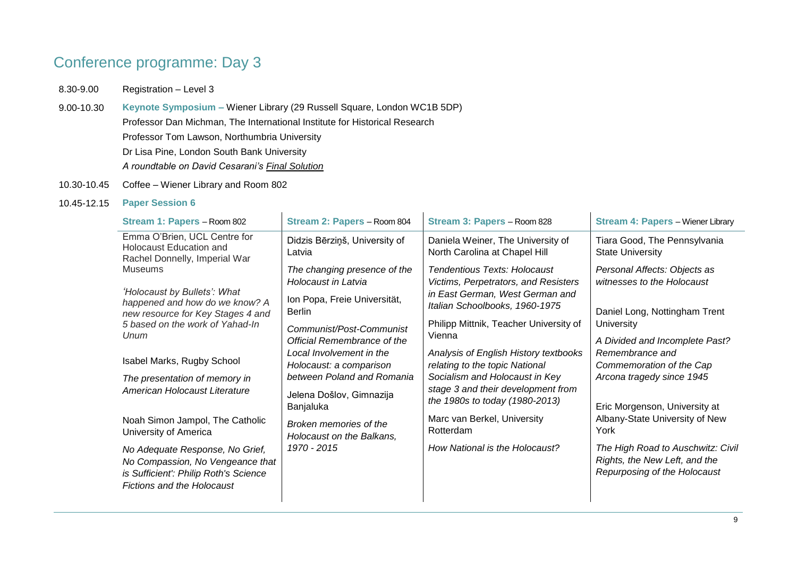# Conference programme: Day 3

- 8.30-9.00 Registration Level 3
- 9.00-10.30 **Keynote Symposium –** Wiener Library (29 Russell Square, London WC1B 5DP) Professor Dan Michman, The International Institute for Historical Research Professor Tom Lawson, Northumbria University Dr Lisa Pine, London South Bank University *A roundtable on David Cesarani's Final Solution*
- 10.30-10.45 Coffee Wiener Library and Room 802

#### 10.45-12.15 **Paper Session 6**

| Stream 1: Papers - Room 802                                                                                                                       | Stream 2: Papers - Room 804                                         | Stream 3: Papers - Room 828                                                                                                               | <b>Stream 4: Papers - Wiener Library</b>                                                           |
|---------------------------------------------------------------------------------------------------------------------------------------------------|---------------------------------------------------------------------|-------------------------------------------------------------------------------------------------------------------------------------------|----------------------------------------------------------------------------------------------------|
| Emma O'Brien, UCL Centre for<br><b>Holocaust Education and</b><br>Rachel Donnelly, Imperial War                                                   | Didzis Bērziņš, University of<br>Latvia                             | Daniela Weiner, The University of<br>North Carolina at Chapel Hill                                                                        | Tiara Good, The Pennsylvania<br><b>State University</b>                                            |
| <b>Museums</b><br>'Holocaust by Bullets': What                                                                                                    | The changing presence of the<br>Holocaust in Latvia                 | Tendentious Texts: Holocaust<br>Victims, Perpetrators, and Resisters<br>in East German, West German and<br>Italian Schoolbooks, 1960-1975 | Personal Affects: Objects as<br>witnesses to the Holocaust                                         |
| happened and how do we know? A<br>new resource for Key Stages 4 and                                                                               | Ion Popa, Freie Universität,<br><b>Berlin</b>                       |                                                                                                                                           | Daniel Long, Nottingham Trent                                                                      |
| 5 based on the work of Yahad-In<br>Unum                                                                                                           | Communist/Post-Communist<br>Official Remembrance of the             | Philipp Mittnik, Teacher University of<br>Vienna                                                                                          | University<br>A Divided and Incomplete Past?                                                       |
| Isabel Marks, Rugby School                                                                                                                        | Local Involvement in the<br>Holocaust: a comparison                 | Analysis of English History textbooks<br>relating to the topic National                                                                   | Remembrance and<br>Commemoration of the Cap                                                        |
| The presentation of memory in<br>American Holocaust Literature                                                                                    | between Poland and Romania<br>Jelena Došlov, Gimnazija<br>Banjaluka | Socialism and Holocaust in Key<br>stage 3 and their development from<br>the 1980s to today (1980-2013)                                    | Arcona tragedy since 1945<br>Eric Morgenson, University at                                         |
| Noah Simon Jampol, The Catholic<br>University of America                                                                                          | Broken memories of the<br>Holocaust on the Balkans,                 | Marc van Berkel, University<br>Rotterdam                                                                                                  | Albany-State University of New<br>York                                                             |
| No Adequate Response, No Grief,<br>No Compassion, No Vengeance that<br>is Sufficient': Philip Roth's Science<br><b>Fictions and the Holocaust</b> | 1970 - 2015                                                         | How National is the Holocaust?                                                                                                            | The High Road to Auschwitz: Civil<br>Rights, the New Left, and the<br>Repurposing of the Holocaust |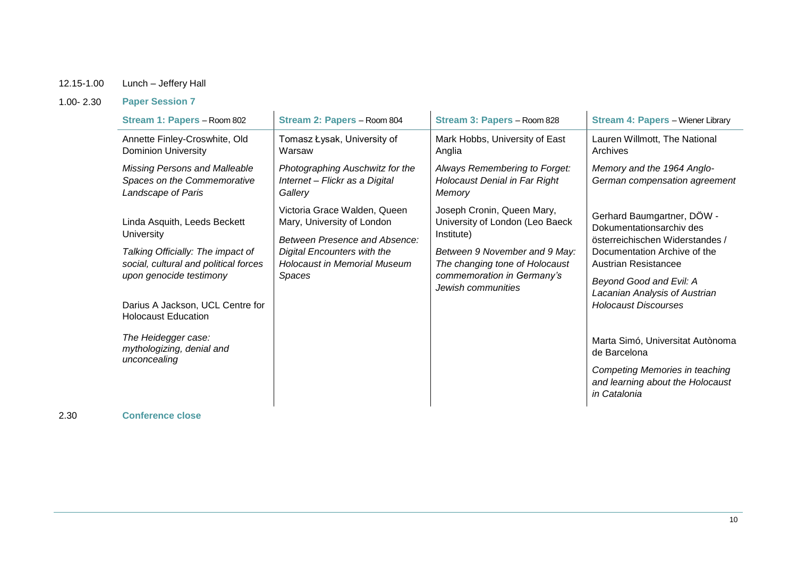## 12.15-1.00 Lunch – Jeffery Hall

## 1.00- 2.30 **Paper Session 7**

| Stream 1: Papers - Room 802                                                                                                                                                                                                                                                                      | Stream 2: Papers - Room 804                                                                                                                                                 | Stream 3: Papers - Room 828                                                                                                                                                                        | <b>Stream 4: Papers - Wiener Library</b>                                                                                                                                                                                                                                                         |
|--------------------------------------------------------------------------------------------------------------------------------------------------------------------------------------------------------------------------------------------------------------------------------------------------|-----------------------------------------------------------------------------------------------------------------------------------------------------------------------------|----------------------------------------------------------------------------------------------------------------------------------------------------------------------------------------------------|--------------------------------------------------------------------------------------------------------------------------------------------------------------------------------------------------------------------------------------------------------------------------------------------------|
| Annette Finley-Croswhite, Old<br><b>Dominion University</b>                                                                                                                                                                                                                                      | Tomasz Łysak, University of<br>Warsaw                                                                                                                                       | Mark Hobbs, University of East<br>Anglia                                                                                                                                                           | Lauren Willmott, The National<br>Archives                                                                                                                                                                                                                                                        |
| <b>Missing Persons and Malleable</b><br>Spaces on the Commemorative<br>Landscape of Paris                                                                                                                                                                                                        | Photographing Auschwitz for the<br>Internet - Flickr as a Digital<br>Gallery                                                                                                | Always Remembering to Forget:<br><b>Holocaust Denial in Far Right</b><br>Memory                                                                                                                    | Memory and the 1964 Anglo-<br>German compensation agreement                                                                                                                                                                                                                                      |
| Linda Asquith, Leeds Beckett<br><b>University</b><br>Talking Officially: The impact of<br>social, cultural and political forces<br>upon genocide testimony<br>Darius A Jackson, UCL Centre for<br><b>Holocaust Education</b><br>The Heidegger case:<br>mythologizing, denial and<br>unconcealing | Victoria Grace Walden, Queen<br>Mary, University of London<br>Between Presence and Absence:<br>Digital Encounters with the<br><b>Holocaust in Memorial Museum</b><br>Spaces | Joseph Cronin, Queen Mary,<br>University of London (Leo Baeck<br>Institute)<br>Between 9 November and 9 May:<br>The changing tone of Holocaust<br>commemoration in Germany's<br>Jewish communities | Gerhard Baumgartner, DÖW -<br>Dokumentationsarchiv des<br>österreichischen Widerstandes /<br>Documentation Archive of the<br>Austrian Resistancee<br>Beyond Good and Evil: A<br>Lacanian Analysis of Austrian<br><b>Holocaust Discourses</b><br>Marta Simó, Universitat Autònoma<br>de Barcelona |
|                                                                                                                                                                                                                                                                                                  |                                                                                                                                                                             |                                                                                                                                                                                                    | <b>Competing Memories in teaching</b><br>and learning about the Holocaust<br>in Catalonia                                                                                                                                                                                                        |

2.30 **Conference close**